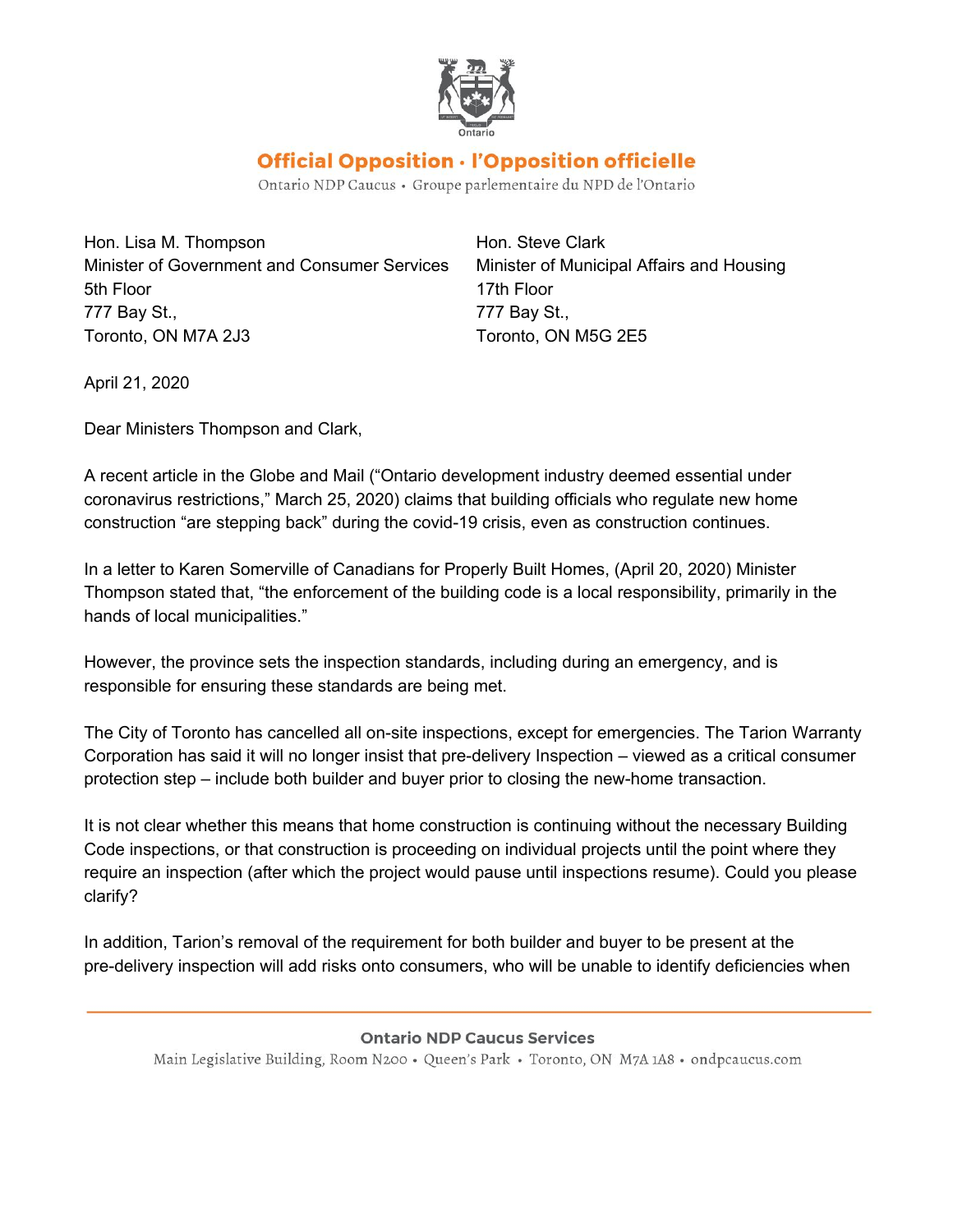

## Official Opposition · l'Opposition officielle

Ontario NDP Caucus • Groupe parlementaire du NPD de l'Ontario

Hon. Lisa M. Thompson Hon. Steve Clark Minister of Government and Consumer Services Minister of Municipal Affairs and Housing 5th Floor 17th Floor 777 Bay St., 777 Bay St., Toronto, ON M7A 2J3 Toronto, ON M5G 2E5

April 21, 2020

Dear Ministers Thompson and Clark,

A recent article in the Globe and Mail ("Ontario development industry deemed essential under coronavirus restrictions," March 25, 2020) claims that building officials who regulate new home construction "are stepping back" during the covid-19 crisis, even as construction continues.

In a letter to Karen Somerville of Canadians for Properly Built Homes, (April 20, 2020) Minister Thompson stated that, "the enforcement of the building code is a local responsibility, primarily in the hands of local municipalities."

However, the province sets the inspection standards, including during an emergency, and is responsible for ensuring these standards are being met.

The City of Toronto has cancelled all on-site inspections, except for emergencies. The Tarion Warranty Corporation has said it will no longer insist that pre-delivery Inspection – viewed as a critical consumer protection step – include both builder and buyer prior to closing the new-home transaction.

It is not clear whether this means that home construction is continuing without the necessary Building Code inspections, or that construction is proceeding on individual projects until the point where they require an inspection (after which the project would pause until inspections resume). Could you please clarify?

In addition, Tarion's removal of the requirement for both builder and buyer to be present at the pre-delivery inspection will add risks onto consumers, who will be unable to identify deficiencies when

## **Ontario NDP Caucus Services**

Main Legislative Building, Room N200 · Queen's Park · Toronto, ON M7A 1A8 · ondpcaucus.com